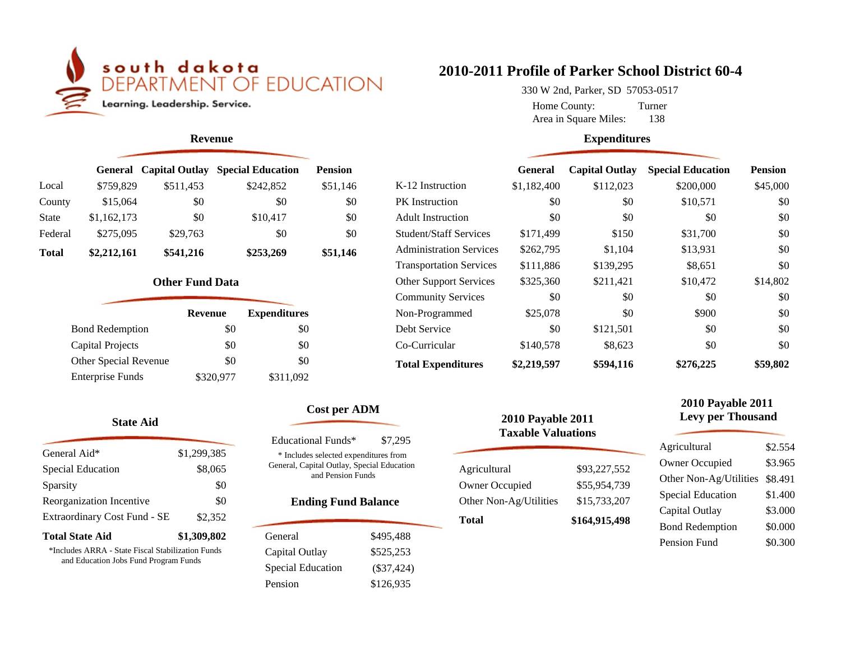

#### **Revenue**

|              | <b>General</b> |           | <b>Capital Outlay Special Education</b> | <b>Pension</b> |  |
|--------------|----------------|-----------|-----------------------------------------|----------------|--|
| Local        | \$759,829      | \$511,453 | \$242,852                               | \$51,146       |  |
| County       | \$15,064       | \$0       | \$0                                     | \$0            |  |
| <b>State</b> | \$1,162,173    | \$0       | \$10,417                                | \$0            |  |
| Federal      | \$275,095      | \$29,763  | \$0                                     | \$0            |  |
| <b>Total</b> | \$2,212,161    | \$541,216 | \$253,269                               | \$51,146       |  |

#### **Other Fund Data**

| <b>Revenue</b> | <b>Expenditures</b> |
|----------------|---------------------|
| \$0            | \$0                 |
| \$0            | \$0                 |
| \$0            | \$0                 |
| \$320,977      | \$311,092           |
|                |                     |

#### **State Aid**

| General Aid*                                                                   | \$1,299,385 |
|--------------------------------------------------------------------------------|-------------|
| Special Education                                                              | \$8,065     |
| Sparsity                                                                       | \$0         |
| Reorganization Incentive                                                       | \$0         |
| Extraordinary Cost Fund - SE                                                   | \$2,352     |
| <b>Total State Aid</b>                                                         | \$1,309,802 |
| $\sim$ 1 1 $\sim$ 100 $\sim$ 0 $\sim$ 0 $\sim$ 10 $\sim$ 11 $\sim$ 0 $\sim$ 11 |             |

\*Includes ARRA - State Fiscal Stabilization Funds and Education Jobs Fund Program Funds

# **2010-2011 Profile of Parker School District 60-4**

Area in Square Miles: 138 330 W 2nd, Parker, SD 57053-0517 Home County: Turner

#### **Expenditures**

|                                | <b>General</b> | <b>Capital Outlay</b> | <b>Special Education</b> | <b>Pension</b> |
|--------------------------------|----------------|-----------------------|--------------------------|----------------|
| K-12 Instruction               | \$1,182,400    | \$112,023             | \$200,000                | \$45,000       |
| <b>PK</b> Instruction          | \$0            | \$0                   | \$10,571                 | \$0            |
| <b>Adult Instruction</b>       | \$0            | \$0                   | \$0                      | \$0            |
| <b>Student/Staff Services</b>  | \$171,499      | \$150                 | \$31,700                 | \$0            |
| <b>Administration Services</b> | \$262,795      | \$1,104               | \$13,931                 | \$0            |
| <b>Transportation Services</b> | \$111,886      | \$139,295             | \$8,651                  | \$0            |
| <b>Other Support Services</b>  | \$325,360      | \$211,421             | \$10,472                 | \$14,802       |
| <b>Community Services</b>      | \$0            | \$0                   | \$0                      | \$0            |
| Non-Programmed                 | \$25,078       | \$0                   | \$900                    | \$0            |
| Debt Service                   | \$0            | \$121,501             | \$0                      | \$0            |
| Co-Curricular                  | \$140,578      | \$8,623               | \$0                      | \$0            |
| <b>Total Expenditures</b>      | \$2,219,597    | \$594,116             | \$276,225                | \$59,802       |

## **Cost per ADM**

| <b>Educational Funds*</b>                                                                                | \$7.295      |  |  |
|----------------------------------------------------------------------------------------------------------|--------------|--|--|
| * Includes selected expenditures from<br>General, Capital Outlay, Special Education<br>and Pension Funds |              |  |  |
| <b>Ending Fund Balance</b>                                                                               |              |  |  |
| General                                                                                                  | \$495.488    |  |  |
| Capital Outlay                                                                                           | \$525.253    |  |  |
| Special Education                                                                                        | $(\$37,424)$ |  |  |
| Pension                                                                                                  | \$126,935    |  |  |

| <b>2010 Payable 2011</b><br><b>Taxable Valuations</b> |               |  |
|-------------------------------------------------------|---------------|--|
| Agricultural                                          | \$93,227,552  |  |
| Owner Occupied                                        | \$55,954,739  |  |
| Other Non-Ag/Utilities                                | \$15,733,207  |  |
| <b>Total</b>                                          | \$164,915,498 |  |

فسرر

## **2010 Payable 2011 Levy per Thousand**

| Agricultural             | \$2.554 |
|--------------------------|---------|
| <b>Owner Occupied</b>    | \$3.965 |
| Other Non-Ag/Utilities   | \$8.491 |
| <b>Special Education</b> | \$1.400 |
| Capital Outlay           | \$3.000 |
| <b>Bond Redemption</b>   | \$0.000 |
| Pension Fund             | \$0.300 |
|                          |         |